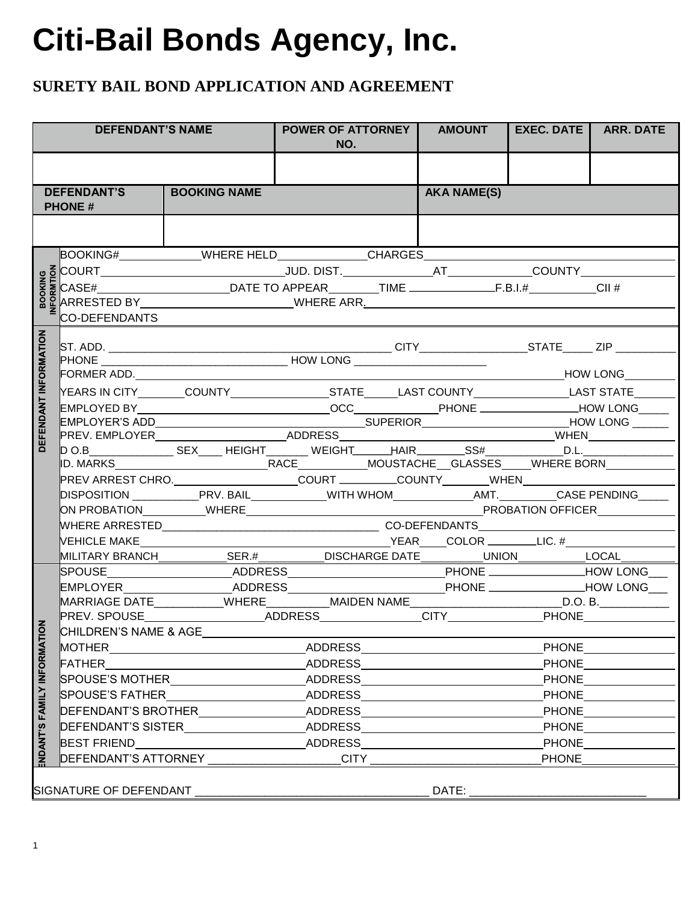# **Citi-Bail Bonds Agency, Inc.**

### **SURETY BAIL BOND APPLICATION AND AGREEMENT**

|                            | <b>DEFENDANT'S NAME</b>             |                                                                                                          | <b>POWER OF ATTORNEY  </b><br>NO. | <b>AMOUNT</b>      | <b>EXEC. DATE</b>                            | <b>ARR. DATE</b> |
|----------------------------|-------------------------------------|----------------------------------------------------------------------------------------------------------|-----------------------------------|--------------------|----------------------------------------------|------------------|
|                            |                                     |                                                                                                          |                                   |                    |                                              |                  |
|                            | <b>DEFENDANT'S</b><br><b>PHONE#</b> | <b>BOOKING NAME</b>                                                                                      |                                   | <b>AKA NAME(S)</b> |                                              |                  |
|                            |                                     |                                                                                                          |                                   |                    |                                              |                  |
|                            |                                     | BOOKING#______________WHERE HELD______________CHARGES___________________________                         |                                   |                    |                                              |                  |
|                            |                                     |                                                                                                          |                                   |                    |                                              |                  |
|                            |                                     |                                                                                                          |                                   |                    |                                              |                  |
|                            |                                     |                                                                                                          |                                   |                    |                                              |                  |
|                            | <b>CO-DEFENDANTS</b>                |                                                                                                          |                                   |                    |                                              |                  |
| DEFENDANT INFORMATION      |                                     |                                                                                                          |                                   |                    |                                              |                  |
|                            |                                     |                                                                                                          |                                   |                    |                                              |                  |
|                            |                                     |                                                                                                          |                                   |                    | <b>MODE THE READER THE PROPERTY AND LONG</b> |                  |
|                            |                                     |                                                                                                          |                                   |                    |                                              |                  |
|                            |                                     |                                                                                                          |                                   |                    |                                              |                  |
|                            |                                     |                                                                                                          |                                   |                    |                                              |                  |
|                            |                                     |                                                                                                          |                                   |                    |                                              |                  |
|                            |                                     | D O.B________________SEX_____ HEIGHT________ WEIGHT_______HAIR_________SS#_____________D.L._____________ |                                   |                    |                                              |                  |
|                            |                                     |                                                                                                          |                                   |                    |                                              |                  |
|                            |                                     |                                                                                                          |                                   |                    |                                              |                  |
|                            |                                     | DISPOSITION _____________PRV. BAIL_____________WITH WHOM______________AMT._________CASE PENDING_____     |                                   |                    |                                              |                  |
|                            |                                     |                                                                                                          |                                   |                    |                                              |                  |
|                            |                                     |                                                                                                          |                                   |                    |                                              |                  |
|                            |                                     | MILITARY BRANCH______________SER.#___________DISCHARGE DATE___________UNION____________LOCAL_______      |                                   |                    |                                              |                  |
|                            |                                     | SPOUSE _______________________ADDRESS___________________________PHONE _______________HOW LONG____        |                                   |                    |                                              |                  |
|                            |                                     | EMPLOYER____________________ADDRESS__________                                                            |                                   |                    | PHONE _____________________HOW LONG___       |                  |
|                            |                                     | MARRIAGE DATE___________WHERE__________MAIDEN NAME__________________________D.O. B.______________        |                                   |                    |                                              |                  |
|                            |                                     | PREV. SPOUSE___________________ADDRESS______________CITY_______________PHONE___________                  |                                   |                    |                                              |                  |
|                            | CHILDREN'S NAME & AGE               |                                                                                                          |                                   |                    |                                              |                  |
|                            |                                     | <b>MOTHER</b> ______________________________                                                             | ADDRESS                           |                    |                                              | <b>PHONE</b>     |
|                            | FATHER                              |                                                                                                          | ADDRESS                           |                    |                                              | <b>PHONE</b>     |
|                            |                                     | <b>SPOUSE'S MOTHER SPOUSE</b>                                                                            | ADDRESS                           |                    |                                              | <b>PHONE</b>     |
|                            | <b>SPOUSE'S FATHER</b>              |                                                                                                          | ADDRESS                           |                    |                                              | <b>PHONE</b>     |
|                            |                                     | DEFENDANT'S BROTHER ADDRESS                                                                              |                                   |                    |                                              | <b>PHONE</b>     |
|                            |                                     | DEFENDANT'S SISTER                                                                                       | <b>ADDRESS</b>                    |                    | <b>PHONE</b>                                 |                  |
| NDANT'S FAMILY INFORMATION | <b>BEST FRIEND</b>                  |                                                                                                          | ADDRESS                           |                    |                                              | <b>PHONE</b>     |
|                            | <b>DEFENDANT'S ATTORNEY</b>         |                                                                                                          | <b>CITY</b>                       |                    | <b>PHONE</b>                                 |                  |
|                            | SIGNATURE OF DEFENDANT              |                                                                                                          |                                   | DATE:              |                                              |                  |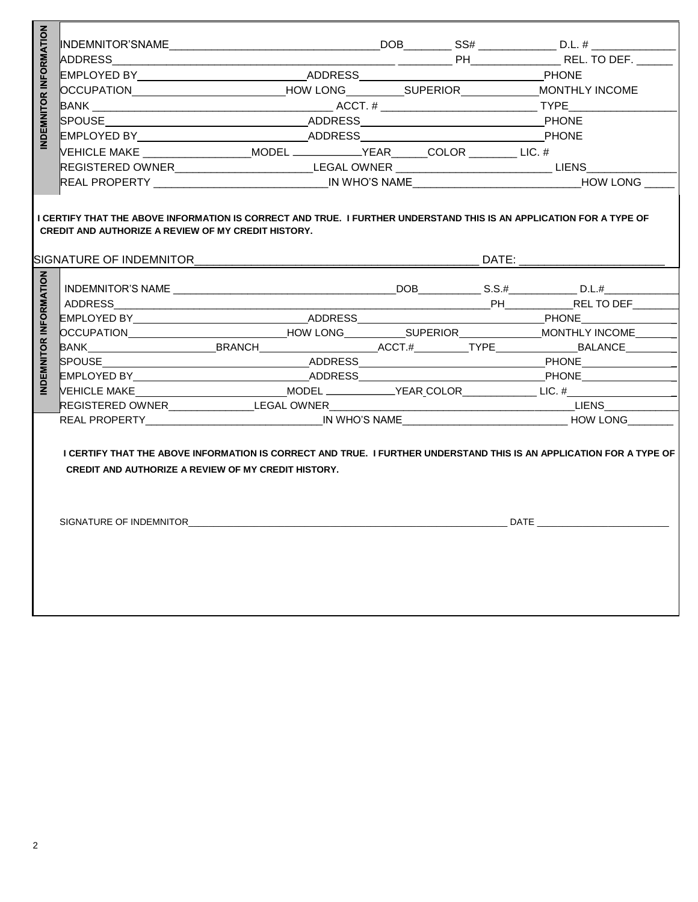| NDEMNITOR INFORMATION |                                                                                                                                                                                                                                |  |                                                                                                      |  |  |                                                                                                            |              |  |
|-----------------------|--------------------------------------------------------------------------------------------------------------------------------------------------------------------------------------------------------------------------------|--|------------------------------------------------------------------------------------------------------|--|--|------------------------------------------------------------------------------------------------------------|--------------|--|
|                       |                                                                                                                                                                                                                                |  |                                                                                                      |  |  |                                                                                                            |              |  |
|                       |                                                                                                                                                                                                                                |  |                                                                                                      |  |  |                                                                                                            | <b>PHONE</b> |  |
|                       | OCCUPATION COLORITION COLORITION COME COLORITION COME COLORITION COME COLORITION COME COLORITION COME COLORITION COME COLORITION COME COLORITION COME COLORITION COME COLORITION COME COLORITION COME COLORITION COME COLORITI |  |                                                                                                      |  |  |                                                                                                            |              |  |
|                       |                                                                                                                                                                                                                                |  |                                                                                                      |  |  |                                                                                                            |              |  |
|                       |                                                                                                                                                                                                                                |  |                                                                                                      |  |  |                                                                                                            |              |  |
|                       | SPOUSE PHONE                                                                                                                                                                                                                   |  |                                                                                                      |  |  |                                                                                                            |              |  |
|                       | EMPLOYED BY_______________________________ADDRESS________________________________PHONE                                                                                                                                         |  |                                                                                                      |  |  |                                                                                                            |              |  |
|                       | VEHICLE MAKE ____________________MODEL _____________YEAR______COLOR ________ LIC. #                                                                                                                                            |  |                                                                                                      |  |  |                                                                                                            |              |  |
|                       |                                                                                                                                                                                                                                |  | REGISTERED OWNER_________________________LEGAL OWNER ____________________________LIENS______________ |  |  |                                                                                                            |              |  |
|                       |                                                                                                                                                                                                                                |  |                                                                                                      |  |  | REAL PROPERTY ________________________________IN WHO'S NAME_________________________________HOW LONG _____ |              |  |
|                       | <b>CREDIT AND AUTHORIZE A REVIEW OF MY CREDIT HISTORY.</b>                                                                                                                                                                     |  |                                                                                                      |  |  |                                                                                                            |              |  |
| NDEMNITOR INFORMATION |                                                                                                                                                                                                                                |  |                                                                                                      |  |  |                                                                                                            |              |  |
|                       |                                                                                                                                                                                                                                |  |                                                                                                      |  |  |                                                                                                            |              |  |
|                       |                                                                                                                                                                                                                                |  |                                                                                                      |  |  |                                                                                                            |              |  |
|                       |                                                                                                                                                                                                                                |  |                                                                                                      |  |  |                                                                                                            |              |  |
|                       |                                                                                                                                                                                                                                |  |                                                                                                      |  |  |                                                                                                            |              |  |
|                       |                                                                                                                                                                                                                                |  |                                                                                                      |  |  |                                                                                                            |              |  |
|                       |                                                                                                                                                                                                                                |  |                                                                                                      |  |  | EMPLOYED BY________________________________ADDRESS________________________________PHONE__________________  |              |  |
|                       |                                                                                                                                                                                                                                |  |                                                                                                      |  |  |                                                                                                            |              |  |
|                       |                                                                                                                                                                                                                                |  |                                                                                                      |  |  |                                                                                                            |              |  |
|                       |                                                                                                                                                                                                                                |  |                                                                                                      |  |  |                                                                                                            |              |  |
|                       | I CERTIFY THAT THE ABOVE INFORMATION IS CORRECT AND TRUE. I FURTHER UNDERSTAND THIS IS AN APPLICATION FOR A TYPE OF<br><b>CREDIT AND AUTHORIZE A REVIEW OF MY CREDIT HISTORY.</b>                                              |  |                                                                                                      |  |  |                                                                                                            |              |  |
|                       |                                                                                                                                                                                                                                |  |                                                                                                      |  |  |                                                                                                            |              |  |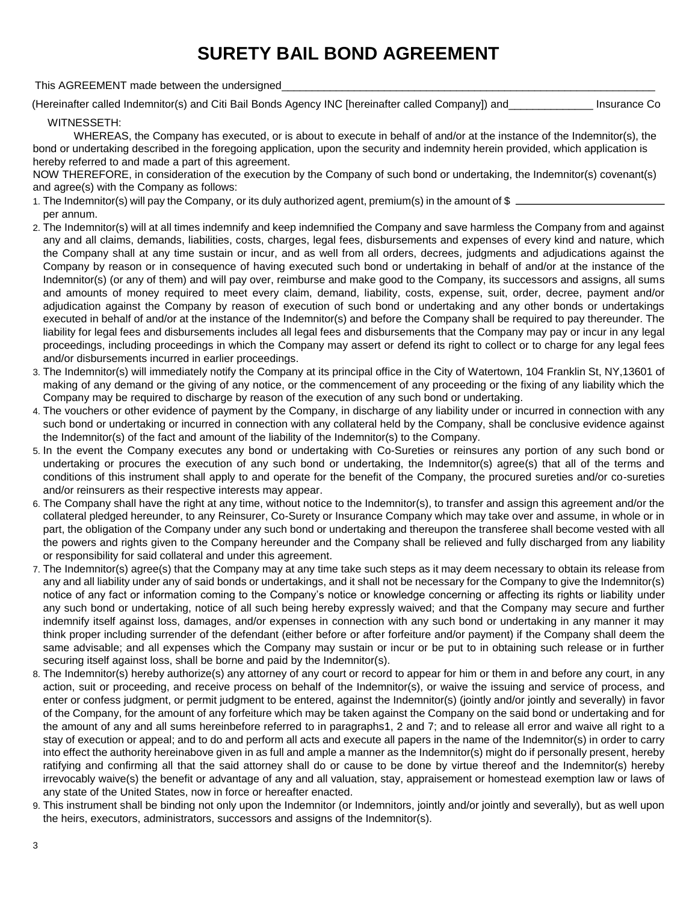### **SURETY BAIL BOND AGREEMENT**

This AGREEMENT made between the undersigned

(Hereinafter called Indemnitor(s) and Citi Bail Bonds Agency INC [hereinafter called Company]) and\_\_\_\_\_\_\_\_\_\_\_\_\_\_ Insurance Co

#### WITNESSETH:

WHEREAS, the Company has executed, or is about to execute in behalf of and/or at the instance of the Indemnitor(s), the bond or undertaking described in the foregoing application, upon the security and indemnity herein provided, which application is hereby referred to and made a part of this agreement.

NOW THEREFORE, in consideration of the execution by the Company of such bond or undertaking, the Indemnitor(s) covenant(s) and agree(s) with the Company as follows:

- 1. The Indemnitor(s) will pay the Company, or its duly authorized agent, premium(s) in the amount of \$ per annum.
- 2. The Indemnitor(s) will at all times indemnify and keep indemnified the Company and save harmless the Company from and against any and all claims, demands, liabilities, costs, charges, legal fees, disbursements and expenses of every kind and nature, which the Company shall at any time sustain or incur, and as well from all orders, decrees, judgments and adjudications against the Company by reason or in consequence of having executed such bond or undertaking in behalf of and/or at the instance of the Indemnitor(s) (or any of them) and will pay over, reimburse and make good to the Company, its successors and assigns, all sums and amounts of money required to meet every claim, demand, liability, costs, expense, suit, order, decree, payment and/or adjudication against the Company by reason of execution of such bond or undertaking and any other bonds or undertakings executed in behalf of and/or at the instance of the Indemnitor(s) and before the Company shall be required to pay thereunder. The liability for legal fees and disbursements includes all legal fees and disbursements that the Company may pay or incur in any legal proceedings, including proceedings in which the Company may assert or defend its right to collect or to charge for any legal fees and/or disbursements incurred in earlier proceedings.
- 3. The Indemnitor(s) will immediately notify the Company at its principal office in the City of Watertown, 104 Franklin St, NY,13601 of making of any demand or the giving of any notice, or the commencement of any proceeding or the fixing of any liability which the Company may be required to discharge by reason of the execution of any such bond or undertaking.
- 4. The vouchers or other evidence of payment by the Company, in discharge of any liability under or incurred in connection with any such bond or undertaking or incurred in connection with any collateral held by the Company, shall be conclusive evidence against the Indemnitor(s) of the fact and amount of the liability of the Indemnitor(s) to the Company.
- 5. In the event the Company executes any bond or undertaking with Co-Sureties or reinsures any portion of any such bond or undertaking or procures the execution of any such bond or undertaking, the Indemnitor(s) agree(s) that all of the terms and conditions of this instrument shall apply to and operate for the benefit of the Company, the procured sureties and/or co-sureties and/or reinsurers as their respective interests may appear.
- 6. The Company shall have the right at any time, without notice to the Indemnitor(s), to transfer and assign this agreement and/or the collateral pledged hereunder, to any Reinsurer, Co-Surety or Insurance Company which may take over and assume, in whole or in part, the obligation of the Company under any such bond or undertaking and thereupon the transferee shall become vested with all the powers and rights given to the Company hereunder and the Company shall be relieved and fully discharged from any liability or responsibility for said collateral and under this agreement.
- 7. The Indemnitor(s) agree(s) that the Company may at any time take such steps as it may deem necessary to obtain its release from any and all liability under any of said bonds or undertakings, and it shall not be necessary for the Company to give the Indemnitor(s) notice of any fact or information coming to the Company's notice or knowledge concerning or affecting its rights or liability under any such bond or undertaking, notice of all such being hereby expressly waived; and that the Company may secure and further indemnify itself against loss, damages, and/or expenses in connection with any such bond or undertaking in any manner it may think proper including surrender of the defendant (either before or after forfeiture and/or payment) if the Company shall deem the same advisable; and all expenses which the Company may sustain or incur or be put to in obtaining such release or in further securing itself against loss, shall be borne and paid by the Indemnitor(s).
- 8. The Indemnitor(s) hereby authorize(s) any attorney of any court or record to appear for him or them in and before any court, in any action, suit or proceeding, and receive process on behalf of the Indemnitor(s), or waive the issuing and service of process, and enter or confess judgment, or permit judgment to be entered, against the Indemnitor(s) (jointly and/or jointly and severally) in favor of the Company, for the amount of any forfeiture which may be taken against the Company on the said bond or undertaking and for the amount of any and all sums hereinbefore referred to in paragraphs1, 2 and 7; and to release all error and waive all right to a stay of execution or appeal; and to do and perform all acts and execute all papers in the name of the Indemnitor(s) in order to carry into effect the authority hereinabove given in as full and ample a manner as the Indemnitor(s) might do if personally present, hereby ratifying and confirming all that the said attorney shall do or cause to be done by virtue thereof and the Indemnitor(s) hereby irrevocably waive(s) the benefit or advantage of any and all valuation, stay, appraisement or homestead exemption law or laws of any state of the United States, now in force or hereafter enacted.
- 9. This instrument shall be binding not only upon the Indemnitor (or Indemnitors, jointly and/or jointly and severally), but as well upon the heirs, executors, administrators, successors and assigns of the Indemnitor(s).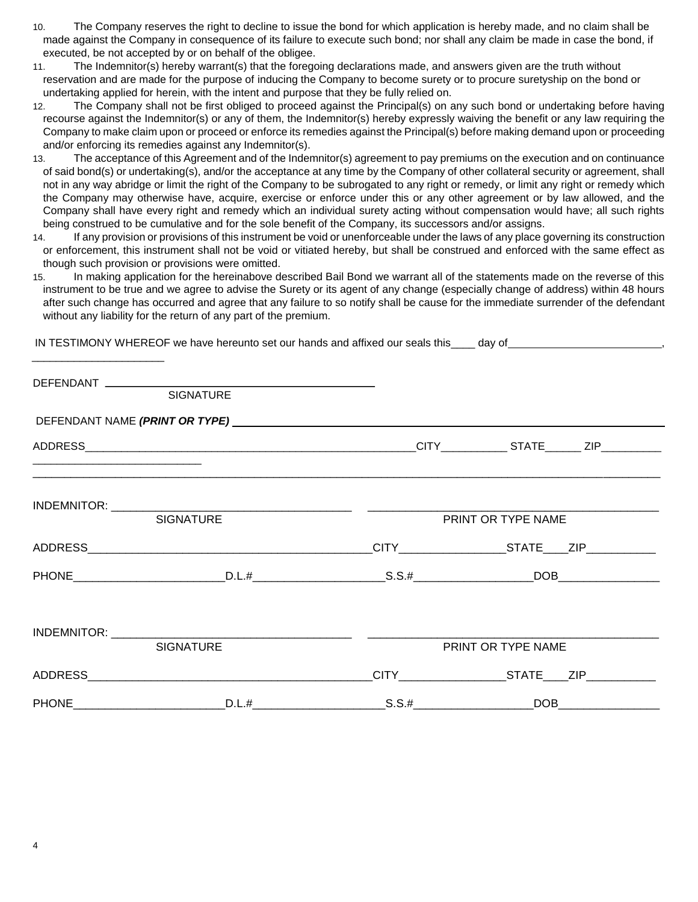- 10. The Company reserves the right to decline to issue the bond for which application is hereby made, and no claim shall be made against the Company in consequence of its failure to execute such bond; nor shall any claim be made in case the bond, if executed, be not accepted by or on behalf of the obligee.
- 11. The Indemnitor(s) hereby warrant(s) that the foregoing declarations made, and answers given are the truth without reservation and are made for the purpose of inducing the Company to become surety or to procure suretyship on the bond or undertaking applied for herein, with the intent and purpose that they be fully relied on.
- 12. The Company shall not be first obliged to proceed against the Principal(s) on any such bond or undertaking before having recourse against the Indemnitor(s) or any of them, the Indemnitor(s) hereby expressly waiving the benefit or any law requiring the Company to make claim upon or proceed or enforce its remedies against the Principal(s) before making demand upon or proceeding and/or enforcing its remedies against any Indemnitor(s).
- 13. The acceptance of this Agreement and of the Indemnitor(s) agreement to pay premiums on the execution and on continuance of said bond(s) or undertaking(s), and/or the acceptance at any time by the Company of other collateral security or agreement, shall not in any way abridge or limit the right of the Company to be subrogated to any right or remedy, or limit any right or remedy which the Company may otherwise have, acquire, exercise or enforce under this or any other agreement or by law allowed, and the Company shall have every right and remedy which an individual surety acting without compensation would have; all such rights being construed to be cumulative and for the sole benefit of the Company, its successors and/or assigns.
- 14. If any provision or provisions of this instrument be void or unenforceable under the laws of any place governing its construction or enforcement, this instrument shall not be void or vitiated hereby, but shall be construed and enforced with the same effect as though such provision or provisions were omitted.
- 15. In making application for the hereinabove described Bail Bond we warrant all of the statements made on the reverse of this instrument to be true and we agree to advise the Surety or its agent of any change (especially change of address) within 48 hours after such change has occurred and agree that any failure to so notify shall be cause for the immediate surrender of the defendant without any liability for the return of any part of the premium.

| SIGNATURE                   |                                                             |  |
|-----------------------------|-------------------------------------------------------------|--|
|                             |                                                             |  |
|                             |                                                             |  |
| <b>SIGNATURE</b>            | PRINT OR TYPE NAME                                          |  |
|                             |                                                             |  |
| PHONE D.L.# D.L.# S.S.# DOB |                                                             |  |
| <b>SIGNATURE</b>            | PRINT OR TYPE NAME                                          |  |
|                             | _CITY__________________________STATE______ZIP______________ |  |
| PHONE D.L.# D.L.# S.S.# DOB |                                                             |  |

IN TESTIMONY WHEREOF we have hereunto set our hands and affixed our seals this\_\_\_\_ day of ,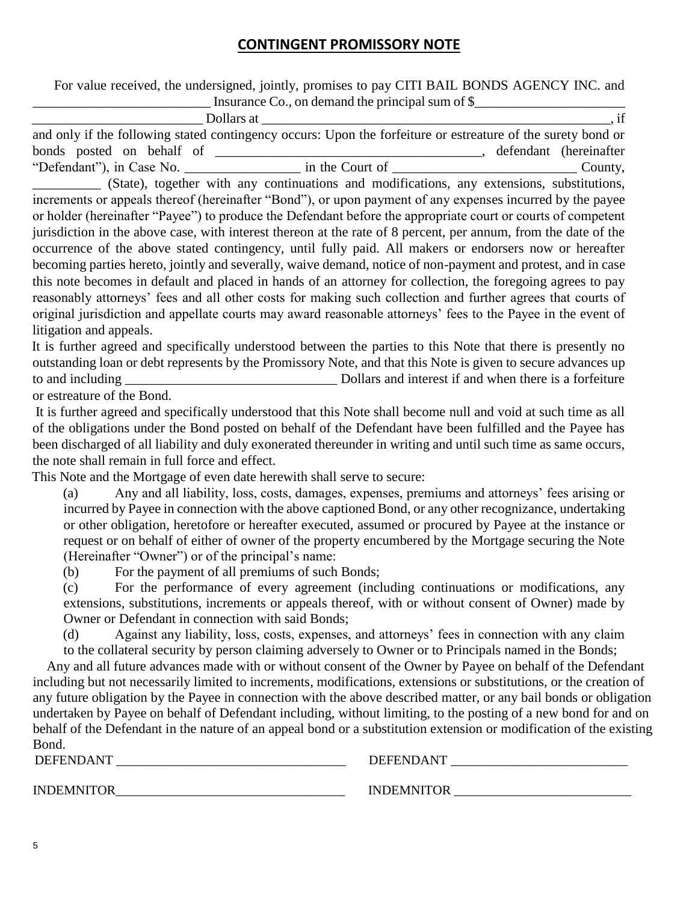#### **CONTINGENT PROMISSORY NOTE**

 For value received, the undersigned, jointly, promises to pay CITI BAIL BONDS AGENCY INC. and Insurance Co., on demand the principal sum of  $\$$ 

|                           | Dollars at                                                                                                   |                         |
|---------------------------|--------------------------------------------------------------------------------------------------------------|-------------------------|
|                           | and only if the following stated contingency occurs: Upon the forfeiture or estreature of the surety bond or |                         |
| bonds posted on behalf of |                                                                                                              | defendant (hereinafter) |
| "Defendant"), in Case No. | in the Court of                                                                                              | County,                 |

\_\_\_\_\_\_\_\_\_\_ (State), together with any continuations and modifications, any extensions, substitutions, increments or appeals thereof (hereinafter "Bond"), or upon payment of any expenses incurred by the payee or holder (hereinafter "Payee") to produce the Defendant before the appropriate court or courts of competent jurisdiction in the above case, with interest thereon at the rate of 8 percent, per annum, from the date of the occurrence of the above stated contingency, until fully paid. All makers or endorsers now or hereafter becoming parties hereto, jointly and severally, waive demand, notice of non-payment and protest, and in case this note becomes in default and placed in hands of an attorney for collection, the foregoing agrees to pay reasonably attorneys' fees and all other costs for making such collection and further agrees that courts of original jurisdiction and appellate courts may award reasonable attorneys' fees to the Payee in the event of litigation and appeals.

It is further agreed and specifically understood between the parties to this Note that there is presently no outstanding loan or debt represents by the Promissory Note, and that this Note is given to secure advances up to and including \_\_\_\_\_\_\_\_\_\_\_\_\_\_\_\_\_\_\_\_\_\_\_\_\_\_\_\_\_\_\_ Dollars and interest if and when there is a forfeiture or estreature of the Bond.

It is further agreed and specifically understood that this Note shall become null and void at such time as all of the obligations under the Bond posted on behalf of the Defendant have been fulfilled and the Payee has been discharged of all liability and duly exonerated thereunder in writing and until such time as same occurs, the note shall remain in full force and effect.

This Note and the Mortgage of even date herewith shall serve to secure:

(a) Any and all liability, loss, costs, damages, expenses, premiums and attorneys' fees arising or incurred by Payee in connection with the above captioned Bond, or any other recognizance, undertaking or other obligation, heretofore or hereafter executed, assumed or procured by Payee at the instance or request or on behalf of either of owner of the property encumbered by the Mortgage securing the Note (Hereinafter "Owner") or of the principal's name:

(b) For the payment of all premiums of such Bonds;

(c) For the performance of every agreement (including continuations or modifications, any extensions, substitutions, increments or appeals thereof, with or without consent of Owner) made by Owner or Defendant in connection with said Bonds;

(d) Against any liability, loss, costs, expenses, and attorneys' fees in connection with any claim to the collateral security by person claiming adversely to Owner or to Principals named in the Bonds;

 Any and all future advances made with or without consent of the Owner by Payee on behalf of the Defendant including but not necessarily limited to increments, modifications, extensions or substitutions, or the creation of any future obligation by the Payee in connection with the above described matter, or any bail bonds or obligation undertaken by Payee on behalf of Defendant including, without limiting, to the posting of a new bond for and on behalf of the Defendant in the nature of an appeal bond or a substitution extension or modification of the existing Bond.

DEFENDANT \_\_\_\_\_\_\_\_\_\_\_\_\_\_\_\_\_\_\_\_\_\_\_\_\_\_\_\_\_\_\_\_\_\_\_ DEFENDANT \_\_\_\_\_\_\_\_\_\_\_\_\_\_\_\_\_\_\_\_\_\_\_\_\_\_\_

INDEMNITOR\_\_\_\_\_\_\_\_\_\_\_\_\_\_\_\_\_\_\_\_\_\_\_\_\_\_\_\_\_\_\_\_\_\_\_ INDEMNITOR \_\_\_\_\_\_\_\_\_\_\_\_\_\_\_\_\_\_\_\_\_\_\_\_\_\_\_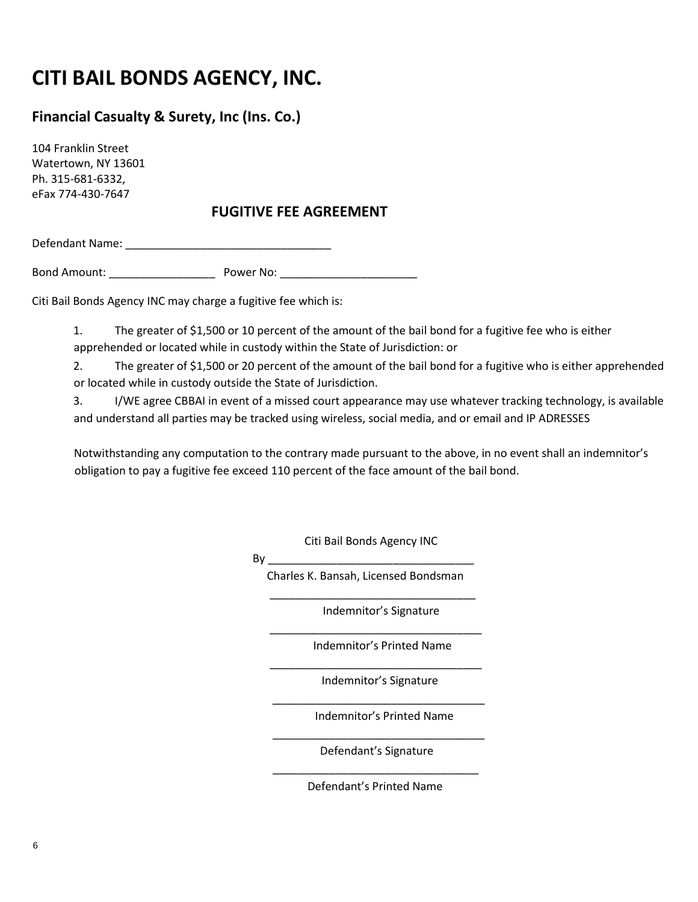### **CITI BAIL BONDS AGENCY, INC.**

### **Financial Casualty & Surety, Inc (Ins. Co.)**

104 Franklin Street Watertown, NY 13601 Ph. 315-681-6332, eFax 774-430-7647

### **FUGITIVE FEE AGREEMENT**

Defendant Name: \_\_\_\_\_\_\_\_\_\_\_\_\_\_\_\_\_\_\_\_\_\_\_\_\_\_\_\_\_\_\_\_\_

Bond Amount: \_\_\_\_\_\_\_\_\_\_\_\_\_\_\_\_\_ Power No: \_\_\_\_\_\_\_\_\_\_\_\_\_\_\_\_\_\_\_\_\_\_

Citi Bail Bonds Agency INC may charge a fugitive fee which is:

1. The greater of \$1,500 or 10 percent of the amount of the bail bond for a fugitive fee who is either apprehended or located while in custody within the State of Jurisdiction: or

2. The greater of \$1,500 or 20 percent of the amount of the bail bond for a fugitive who is either apprehended or located while in custody outside the State of Jurisdiction.

3. I/WE agree CBBAI in event of a missed court appearance may use whatever tracking technology, is available and understand all parties may be tracked using wireless, social media, and or email and IP ADRESSES

Notwithstanding any computation to the contrary made pursuant to the above, in no event shall an indemnitor's obligation to pay a fugitive fee exceed 110 percent of the face amount of the bail bond.

Citi Bail Bonds Agency INC

 $\mathsf{By}$ 

 Charles K. Bansah, Licensed Bondsman \_\_\_\_\_\_\_\_\_\_\_\_\_\_\_\_\_\_\_\_\_\_\_\_\_\_\_\_\_\_\_\_\_

\_\_\_\_\_\_\_\_\_\_\_\_\_\_\_\_\_\_\_\_\_\_\_\_\_\_\_\_\_\_\_\_\_\_

\_\_\_\_\_\_\_\_\_\_\_\_\_\_\_\_\_\_\_\_\_\_\_\_\_\_\_\_\_\_\_\_\_\_

\_\_\_\_\_\_\_\_\_\_\_\_\_\_\_\_\_\_\_\_\_\_\_\_\_\_\_\_\_\_\_\_\_\_

 $\frac{1}{2}$  ,  $\frac{1}{2}$  ,  $\frac{1}{2}$  ,  $\frac{1}{2}$  ,  $\frac{1}{2}$  ,  $\frac{1}{2}$  ,  $\frac{1}{2}$  ,  $\frac{1}{2}$  ,  $\frac{1}{2}$  ,  $\frac{1}{2}$  ,  $\frac{1}{2}$  ,  $\frac{1}{2}$  ,  $\frac{1}{2}$  ,  $\frac{1}{2}$  ,  $\frac{1}{2}$  ,  $\frac{1}{2}$  ,  $\frac{1}{2}$  ,  $\frac{1}{2}$  ,  $\frac{1$ 

 $\overline{\phantom{a}}$  , and the contract of the contract of the contract of the contract of the contract of the contract of the contract of the contract of the contract of the contract of the contract of the contract of the contrac

Indemnitor's Signature

Indemnitor's Printed Name

Indemnitor's Signature

Indemnitor's Printed Name

Defendant's Signature

Defendant's Printed Name